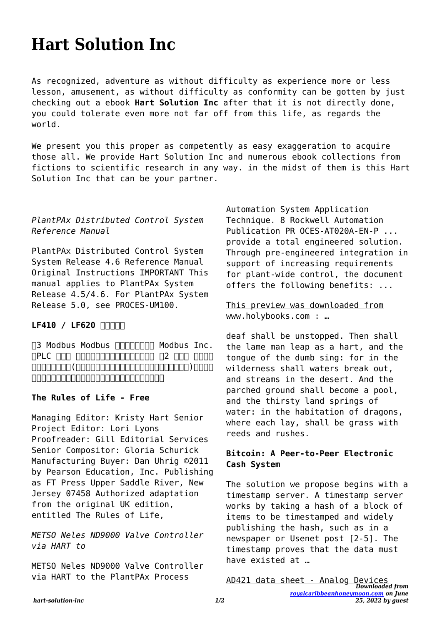# **Hart Solution Inc**

As recognized, adventure as without difficulty as experience more or less lesson, amusement, as without difficulty as conformity can be gotten by just checking out a ebook **Hart Solution Inc** after that it is not directly done, you could tolerate even more not far off from this life, as regards the world.

We present you this proper as competently as easy exaggeration to acquire those all. We provide Hart Solution Inc and numerous ebook collections from fictions to scientific research in any way. in the midst of them is this Hart Solution Inc that can be your partner.

#### *PlantPAx Distributed Control System Reference Manual*

PlantPAx Distributed Control System System Release 4.6 Reference Manual Original Instructions IMPORTANT This manual applies to PlantPAx System Release 4.5/4.6. For PlantPAx System Release 5.0, see PROCES-UM100.

## LF410 / LF620 **NNNN**

T3 Modbus Modbus TITITITITITI Modbus Inc. OPLC 000 0000000000000000 02 000 0000  $\Box$ ムに使用されることを意図して設計、製造されたものです。

## **The Rules of Life - Free**

Managing Editor: Kristy Hart Senior Project Editor: Lori Lyons Proofreader: Gill Editorial Services Senior Compositor: Gloria Schurick Manufacturing Buyer: Dan Uhrig ©2011 by Pearson Education, Inc. Publishing as FT Press Upper Saddle River, New Jersey 07458 Authorized adaptation from the original UK edition, entitled The Rules of Life,

*METSO Neles ND9000 Valve Controller via HART to*

METSO Neles ND9000 Valve Controller via HART to the PlantPAx Process

Automation System Application Technique. 8 Rockwell Automation Publication PR OCES-AT020A-EN-P ... provide a total engineered solution. Through pre-engineered integration in support of increasing requirements for plant-wide control, the document offers the following benefits: ...

#### This preview was downloaded from www.holybooks.com : …

deaf shall be unstopped. Then shall the lame man leap as a hart, and the tongue of the dumb sing: for in the wilderness shall waters break out, and streams in the desert. And the parched ground shall become a pool, and the thirsty land springs of water: in the habitation of dragons, where each lay, shall be grass with reeds and rushes.

## **Bitcoin: A Peer-to-Peer Electronic Cash System**

The solution we propose begins with a timestamp server. A timestamp server works by taking a hash of a block of items to be timestamped and widely publishing the hash, such as in a newspaper or Usenet post [2-5]. The timestamp proves that the data must have existed at …